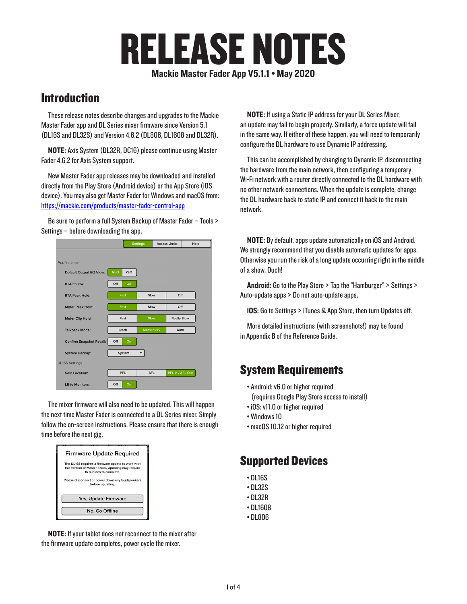# RELEASE NOTES

Mackie Master Fader App V5.1.1 • May 2020

## **Introduction**

These release notes describe changes and upgrades to the Mackie Master Fader app and DL Series mixer firmware since Version 5.1 (DL16S and DL32S) and Version 4.6.2 (DL806, DL1608 and DL32R).

NOTE: Axis System (DL32R, DC16) please continue using Master Fader 4.6.2 for Axis System support.

New Master Fader app releases may be downloaded and installed directly from the Play Store (Android device) or the App Store (iOS device). You may also get Master Fader for Windows and macOS from: https://mackie.com/products/master-fader-control-app

Be sure to perform a full System Backup of Master Fader – Tools > Settings – before downloading the app.

|                                 |                   | <b>Settings</b>  |  | <b>Access Limits</b> |  |
|---------------------------------|-------------------|------------------|--|----------------------|--|
|                                 |                   |                  |  |                      |  |
| <b>App Settings</b>             |                   |                  |  |                      |  |
| Default Output EQ View:         | <b>GEQ</b><br>PEQ |                  |  |                      |  |
| <b>RTA Follow:</b>              | Off<br>On         |                  |  |                      |  |
| <b>RTA Peak Hold:</b>           | Fast              | Slow             |  | Off                  |  |
| <b>Meter Peak Hold:</b>         | Fast              | Slow             |  | Off                  |  |
| Meter Clip Hold:                | Fast              | Slow             |  | <b>Really Slow</b>   |  |
| <b>Talkback Mode:</b>           | Latch             | <b>Momentary</b> |  | Auto                 |  |
| <b>Confirm Snapshot Recall:</b> | Off<br>On         |                  |  |                      |  |
| <b>System Backup:</b>           | System            |                  |  |                      |  |
| <b>DL16S Settings</b>           |                   |                  |  |                      |  |
| Solo Location:                  | PFL               | <b>AFL</b>       |  | PFL In / AFL Out     |  |
| LR to Monitors:                 | Off<br>On         |                  |  |                      |  |

The mixer firmware will also need to be updated. This will happen the next time Master Fader is connected to a DL Series mixer. Simply follow the on-screen instructions. Please ensure that there is enough time before the next gig.

| <b>Firmware Update Required</b>                                                                                                    |  |  |  |  |  |
|------------------------------------------------------------------------------------------------------------------------------------|--|--|--|--|--|
| The DL16S requires a firmware update to work with<br>this version of Master Fader. Updating may require<br>15 minutes to complete. |  |  |  |  |  |
| Please disconnect or power down any loudspeakers<br>before updating.                                                               |  |  |  |  |  |
| Yes, Update Firmware                                                                                                               |  |  |  |  |  |
| No. Go Offline                                                                                                                     |  |  |  |  |  |

NOTE: If your tablet does not reconnect to the mixer after the firmware update completes, power cycle the mixer.

NOTE: If using a Static IP address for your DL Series Mixer, an update may fail to begin properly. Similarly, a force update will fail in the same way. If either of these happen, you will need to temporarily configure the DL hardware to use Dynamic IP addressing.

This can be accomplished by changing to Dynamic IP, disconnecting the hardware from the main network, then configuring a temporary Wi-Fi network with a router directly connected to the DL hardware with no other network connections. When the update is complete, change the DL hardware back to static IP and connect it back to the main network.

NOTE: By default, apps update automatically on iOS and Android. We strongly recommend that you disable automatic updates for apps. Otherwise you run the risk of a long update occurring right in the middle of a show. Ouch!

Android: Go to the Play Store > Tap the "Hamburger" > Settings > Auto-update apps > Do not auto-update apps.

iOS: Go to Settings > iTunes & App Store, then turn Updates off.

More detailed instructions (with screenshots!) may be found in Appendix B of the Reference Guide.

## System Requirements

- Android: v6.0 or higher required (requires Google Play Store access to install)
- iOS: v11.0 or higher required
- Windows 10
- macOS 10.12 or higher required

## Supported Devices

- DL16S
- DL32S
- DL32R
- DL1608
- DL806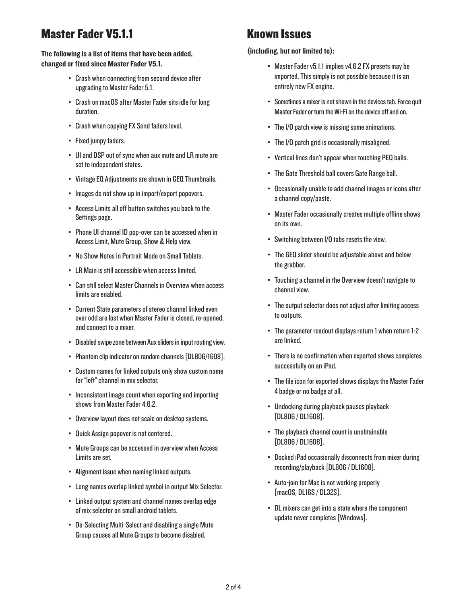# Master Fader V5.1.1

## The following is a list of items that have been added, changed or fixed since Master Fader V5.1.

- Crash when connecting from second device after upgrading to Master Fader 5.1.
- Crash on macOS after Master Fader sits idle for long duration.
- Crash when copying FX Send faders level.
- Fixed jumpy faders.
- UI and DSP out of sync when aux mute and LR mute are set to independent states.
- Vintage EQ Adjustments are shown in GEQ Thumbnails.
- Images do not show up in import/export popovers.
- Access Limits all off button switches you back to the Settings page.
- Phone UI channel ID pop-over can be accessed when in Access Limit, Mute Group, Show & Help view.
- No Show Notes in Portrait Mode on Small Tablets.
- LR Main is still accessible when access limited.
- Can still select Master Channels in Overview when access limits are enabled.
- Current State parameters of stereo channel linked even over odd are lost when Master Fader is closed, re-opened, and connect to a mixer.
- Disabled swipe zone between Aux sliders in input routing view.
- Phantom clip indicator on random channels [DL806/1608].
- Custom names for linked outputs only show custom name for "left" channel in mix selector.
- Inconsistent image count when exporting and importing shows from Master Fader 4.6.2.
- Overview layout does not scale on desktop systems.
- Quick Assign popover is not centered.
- Mute Groups can be accessed in overview when Access Limits are set.
- Alignment issue when naming linked outputs.
- Long names overlap linked symbol in output Mix Selector.
- Linked output system and channel names overlap edge of mix selector on small android tablets.
- De-Selecting Multi-Select and disabling a single Mute Group causes all Mute Groups to become disabled.

## Known Issues

#### (including, but not limited to):

- Master Fader v5.1.1 implies v4.6.2 FX presets may be imported. This simply is not possible because it is an entirely new FX engine.
- Sometimes a mixer is not shown in the devices tab. Force quit Master Fader or turn the Wi-Fi on the device off and on.
- The I/O patch view is missing some animations.
- The I/O patch grid is occasionally misaligned.
- Vertical lines don't appear when touching PEQ balls.
- The Gate Threshold ball covers Gate Range ball.
- Occasionally unable to add channel images or icons after a channel copy/paste.
- Master Fader occasionally creates multiple offline shows on its own.
- Switching between I/O tabs resets the view.
- The GEQ slider should be adjustable above and below the grabber.
- Touching a channel in the Overview doesn't navigate to channel view.
- The output selector does not adjust after limiting access to outputs.
- The parameter readout displays return 1 when return 1-2 are linked.
- There is no confirmation when exported shows completes successfully on an iPad.
- The file icon for exported shows displays the Master Fader 4 badge or no badge at all.
- Undocking during playback pauses playback [DL806 / DL1608].
- The playback channel count is unobtainable [DL806 / DL1608].
- Docked iPad occasionally disconnects from mixer during recording/playback [DL806 / DL1608].
- Auto-join for Mac is not working properly [macOS, DL16S / DL32S].
- DL mixers can get into a state where the component update never completes [Windows].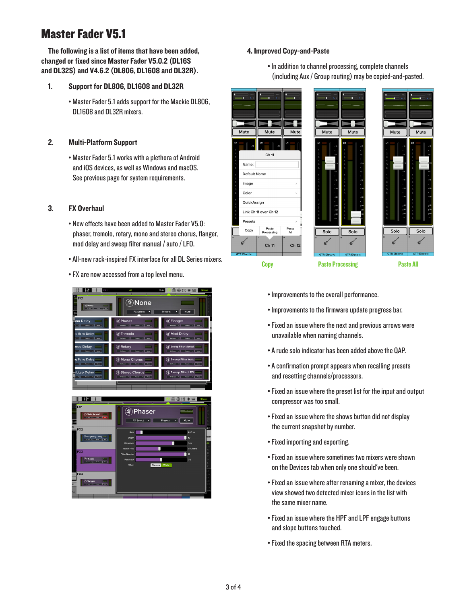# Master Fader V5.1

The following is a list of items that have been added, changed or fixed since Master Fader V5.0.2 (DL16S and DL32S) and V4.6.2 (DL806, DL1608 and DL32R).

## 1. Support for DL806, DL1608 and DL32R

• Master Fader 5.1 adds support for the Mackie DL806, DL1608 and DL32R mixers.

## 2. Multi-Platform Support

• Master Fader 5.1 works with a plethora of Android and iOS devices, as well as Windows and macOS. See previous page for system requirements.

## 3. FX Overhaul

- New effects have been added to Master Fader V5.0: phaser, tremolo, rotary, mono and stereo chorus, flanger, mod delay and sweep filter manual / auto / LFO.
- All-new rack-inspired FX interface for all DL Series mixers.
- FX are now accessed from a top level menu.



## 4. Improved Copy-and-Paste

• In addition to channel processing, complete channels (including Aux / Group routing) may be copied-and-pasted.







- Improvements to the overall performance.
- Improvements to the firmware update progress bar.
- Fixed an issue where the next and previous arrows were unavailable when naming channels.
- A rude solo indicator has been added above the QAP.
- A confirmation prompt appears when recalling presets and resetting channels/processors.
- Fixed an issue where the preset list for the input and output compressor was too small.
- Fixed an issue where the shows button did not display the current snapshot by number.
- Fixed importing and exporting.
- Fixed an issue where sometimes two mixers were shown on the Devices tab when only one should've been.
- Fixed an issue where after renaming a mixer, the devices view showed two detected mixer icons in the list with the same mixer name.
- Fixed an issue where the HPF and LPF engage buttons and slope buttons touched.
- Fixed the spacing between RTA meters.